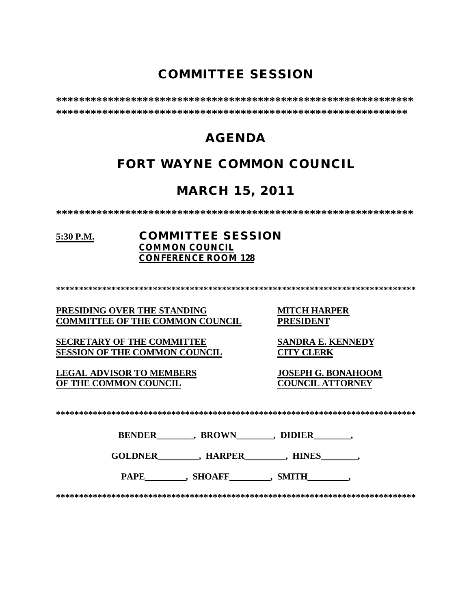# **COMMITTEE SESSION**

**\*\*\*\*\*\*\*\*\*\*\*\*\*\*\*\*\*\*\*\*\*\*\*\*\*\*\*\*\*\*\*\*\*\*\*\*\*\*\*\*\*\*\*\*\*\*\*\*\*\*\*\*\*\*\*\*\*\*\*\*\*\* \*\*\*\*\*\*\*\*\*\*\*\*\*\*\*\*\*\*\*\*\*\*\*\*\*\*\*\*\*\*\*\*\*\*\*\*\*\*\*\*\*\*\*\*\*\*\*\*\*\*\*\*\*\*\*\*\*\*\*\*\***

# **AGENDA**

# **FORT WAYNE COMMON COUNCIL**

# **MARCH 15, 2011**

**\*\*\*\*\*\*\*\*\*\*\*\*\*\*\*\*\*\*\*\*\*\*\*\*\*\*\*\*\*\*\*\*\*\*\*\*\*\*\*\*\*\*\*\*\*\*\*\*\*\*\*\*\*\*\*\*\*\*\*\*\*\***

#### **5:30 P.M. COMMITTEE SESSION COMMON COUNCIL CONFERENCE ROOM 128**

**\*\*\*\*\*\*\*\*\*\*\*\*\*\*\*\*\*\*\*\*\*\*\*\*\*\*\*\*\*\*\*\*\*\*\*\*\*\*\*\*\*\*\*\*\*\*\*\*\*\*\*\*\*\*\*\*\*\*\*\*\*\*\*\*\*\*\*\*\*\*\*\*\*\*\*\*\*\***

#### **PRESIDING OVER THE STANDING MITCH HARPER COMMITTEE OF THE COMMON COUNCIL**

**SECRETARY OF THE COMMITTEE SANDRA E. KENNEDY SESSION OF THE COMMON COUNCIL** 

**LEGAL ADVISOR TO MEMBERS JOSEPH G. BONAHOOM OF THE COMMON COUNCIL** 

**\*\*\*\*\*\*\*\*\*\*\*\*\*\*\*\*\*\*\*\*\*\*\*\*\*\*\*\*\*\*\*\*\*\*\*\*\*\*\*\*\*\*\*\*\*\*\*\*\*\*\*\*\*\*\*\*\*\*\*\*\*\*\*\*\*\*\*\*\*\*\*\*\*\*\*\*\*\***

| <b>BROWN</b><br><b>BENDER</b><br><b>DIDIER</b> |
|------------------------------------------------|
|------------------------------------------------|

**GOLDNER\_\_\_\_\_\_\_\_\_, HARPER\_\_\_\_\_\_\_\_\_, HINES\_\_\_\_\_\_\_\_,** 

PAPE\_\_\_\_\_\_\_\_, SHOAFF\_\_\_\_\_\_\_, SMITH\_\_\_\_\_\_\_,

**\*\*\*\*\*\*\*\*\*\*\*\*\*\*\*\*\*\*\*\*\*\*\*\*\*\*\*\*\*\*\*\*\*\*\*\*\*\*\*\*\*\*\*\*\*\*\*\*\*\*\*\*\*\*\*\*\*\*\*\*\*\*\*\*\*\*\*\*\*\*\*\*\*\*\*\*\*\***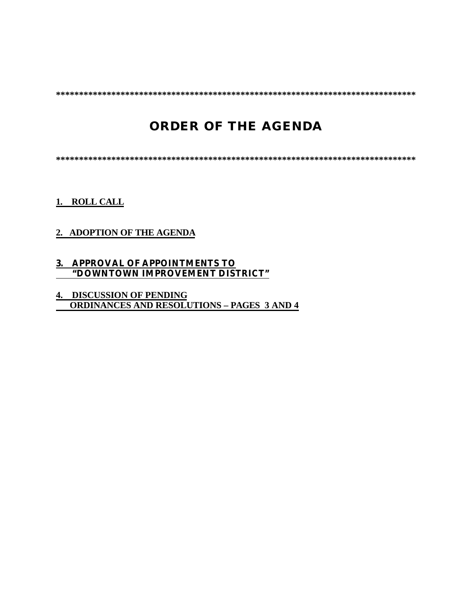**\*\*\*\*\*\*\*\*\*\*\*\*\*\*\*\*\*\*\*\*\*\*\*\*\*\*\*\*\*\*\*\*\*\*\*\*\*\*\*\*\*\*\*\*\*\*\*\*\*\*\*\*\*\*\*\*\*\*\*\*\*\*\*\*\*\*\*\*\*\*\*\*\*\*\*\*\*\***

# **ORDER OF THE AGENDA**

**\*\*\*\*\*\*\*\*\*\*\*\*\*\*\*\*\*\*\*\*\*\*\*\*\*\*\*\*\*\*\*\*\*\*\*\*\*\*\*\*\*\*\*\*\*\*\*\*\*\*\*\*\*\*\*\*\*\*\*\*\*\*\*\*\*\*\*\*\*\*\*\*\*\*\*\*\*\***

**1. ROLL CALL**

### **2. ADOPTION OF THE AGENDA**

#### **3. APPROVAL OF APPOINTMENTS TO "DOWNTOWN IMPROVEMENT DISTRICT"**

### **4. DISCUSSION OF PENDING ORDINANCES AND RESOLUTIONS – PAGES 3 AND 4**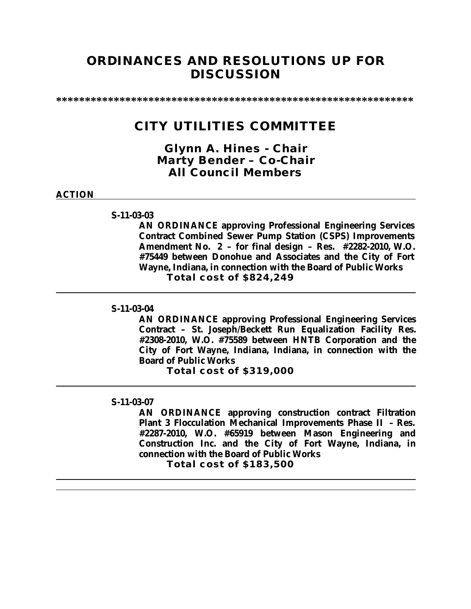## **ORDINANCES AND RESOLUTIONS UP FOR DISCUSSION**

**\*\*\*\*\*\*\*\*\*\*\*\*\*\*\*\*\*\*\*\*\*\*\*\*\*\*\*\*\*\*\*\*\*\*\*\*\*\*\*\*\*\*\*\*\*\*\*\*\*\*\*\*\*\*\*\*\*\*\*\*\*\***

## **CITY UTILITIES COMMITTEE**

*Glynn A. Hines - Chair Marty Bender – Co-Chair All Council Members*

#### **ACTION**

#### **S-11-03-03**

**AN ORDINANCE approving Professional Engineering Services Contract Combined Sewer Pump Station (CSPS) Improvements Amendment No. 2 – for final design – Res. #2282-2010, W.O. #75449 between Donohue and Associates and the City of Fort Wayne, Indiana, in connection with the Board of Public Works Total cost of \$824,249**

#### **S-11-03-04**

**AN ORDINANCE approving Professional Engineering Services Contract – St. Joseph/Beckett Run Equalization Facility Res. #2308-2010, W.O. #75589 between HNTB Corporation and the City of Fort Wayne, Indiana, Indiana, in connection with the Board of Public Works** 

**Total cost of \$319,000**

#### **S-11-03-07**

**AN ORDINANCE approving construction contract Filtration Plant 3 Flocculation Mechanical Improvements Phase II – Res. #2287-2010, W.O. #65919 between Mason Engineering and Construction Inc. and the City of Fort Wayne, Indiana, in connection with the Board of Public Works**

**Total cost of \$183,500**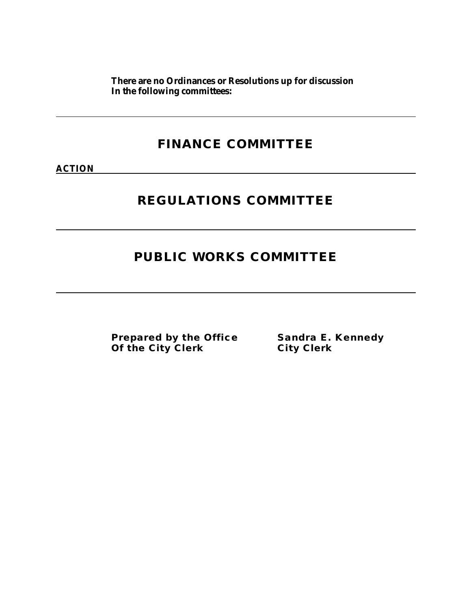**There are no Ordinances or Resolutions up for discussion In the following committees:**

# **FINANCE COMMITTEE**

**ACTION**

# **REGULATIONS COMMITTEE**

# **PUBLIC WORKS COMMITTEE**

**Prepared by the Office Sandra E. Kennedy Of the City Clerk City Clerk**